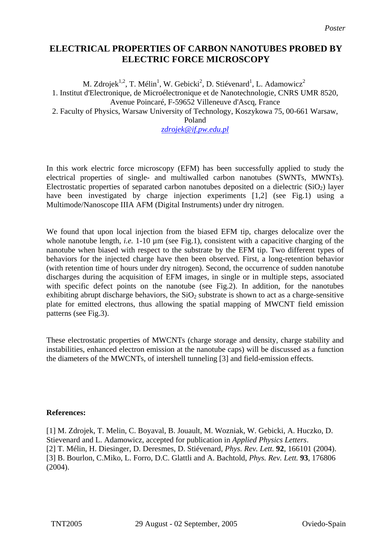## **ELECTRICAL PROPERTIES OF CARBON NANOTUBES PROBED BY ELECTRIC FORCE MICROSCOPY**

M. Zdrojek<sup>1,2</sup>, T. Mélin<sup>1</sup>, W. Gebicki<sup>2</sup>, D. Stiévenard<sup>1</sup>, L. Adamowicz<sup>2</sup> 1. Institut d'Electronique, de Microélectronique et de Nanotechnologie, CNRS UMR 8520, Avenue Poincaré, F-59652 Villeneuve d'Ascq, France 2. Faculty of Physics, Warsaw University of Technology, Koszykowa 75, 00-661 Warsaw,

Poland

*[zdrojek@if.pw.edu.pl](mailto:zdrojek@if.pw.edu.pl)*

In this work electric force microscopy (EFM) has been successfully applied to study the electrical properties of single- and multiwalled carbon nanotubes (SWNTs, MWNTs). Electrostatic properties of separated carbon nanotubes deposited on a dielectric  $(SiO<sub>2</sub>)$  layer have been investigated by charge injection experiments [1,2] (see Fig.1) using a Multimode/Nanoscope IIIA AFM (Digital Instruments) under dry nitrogen.

We found that upon local injection from the biased EFM tip, charges delocalize over the whole nanotube length, *i.e.* 1-10  $\mu$ m (see Fig.1), consistent with a capacitive charging of the nanotube when biased with respect to the substrate by the EFM tip. Two different types of behaviors for the injected charge have then been observed. First, a long-retention behavior (with retention time of hours under dry nitrogen). Second, the occurrence of sudden nanotube discharges during the acquisition of EFM images, in single or in multiple steps, associated with specific defect points on the nanotube (see Fig.2). In addition, for the nanotubes exhibiting abrupt discharge behaviors, the  $SiO<sub>2</sub>$  substrate is shown to act as a charge-sensitive plate for emitted electrons, thus allowing the spatial mapping of MWCNT field emission patterns (see Fig.3).

These electrostatic properties of MWCNTs (charge storage and density, charge stability and instabilities, enhanced electron emission at the nanotube caps) will be discussed as a function the diameters of the MWCNTs, of intershell tunneling [3] and field-emission effects.

## **References:**

[1] M. Zdrojek, T. Melin, C. Boyaval, B. Jouault, M. Wozniak, W. Gebicki, A. Huczko, D. Stievenard and L. Adamowicz, accepted for publication in *Applied Physics Letters*. [2] T. Mélin, H. Diesinger, D. Deresmes, D. Stiévenard, *Phys. Rev. Lett.* **92**, 166101 (2004). [3] B. Bourlon, C.Miko, L. Forro, D.C. Glattli and A. Bachtold, *Phys. Rev. Lett.* **93**, 176806 (2004).